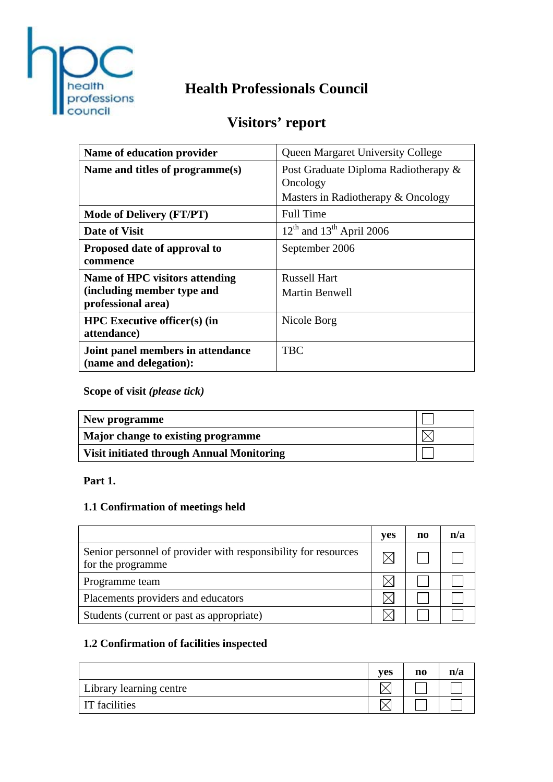

# **Health Professionals Council**

# **Visitors' report**

| Name of education provider                                  | <b>Queen Margaret University College</b>         |  |
|-------------------------------------------------------------|--------------------------------------------------|--|
| Name and titles of programme(s)                             | Post Graduate Diploma Radiotherapy &<br>Oncology |  |
|                                                             | Masters in Radiotherapy & Oncology               |  |
| <b>Mode of Delivery (FT/PT)</b>                             | <b>Full Time</b>                                 |  |
| <b>Date of Visit</b>                                        | $12th$ and $13th$ April 2006                     |  |
| Proposed date of approval to<br>commence                    | September 2006                                   |  |
| Name of HPC visitors attending                              | <b>Russell Hart</b>                              |  |
| (including member type and<br>professional area)            | <b>Martin Benwell</b>                            |  |
| <b>HPC</b> Executive officer(s) (in<br>attendance)          | Nicole Borg                                      |  |
| Joint panel members in attendance<br>(name and delegation): | <b>TBC</b>                                       |  |

**Scope of visit** *(please tick)*

| New programme                                    |  |
|--------------------------------------------------|--|
| Major change to existing programme               |  |
| <b>Visit initiated through Annual Monitoring</b> |  |

#### **Part 1.**

# **1.1 Confirmation of meetings held**

|                                                                                     | yes | no | n/a |
|-------------------------------------------------------------------------------------|-----|----|-----|
| Senior personnel of provider with responsibility for resources<br>for the programme |     |    |     |
| Programme team                                                                      |     |    |     |
| Placements providers and educators                                                  |     |    |     |
| Students (current or past as appropriate)                                           |     |    |     |

## **1.2 Confirmation of facilities inspected**

|                                | <b>ves</b> | n0 | n/a |
|--------------------------------|------------|----|-----|
| <b>Library learning centre</b> |            |    |     |
| <b>IT</b> facilities           |            |    |     |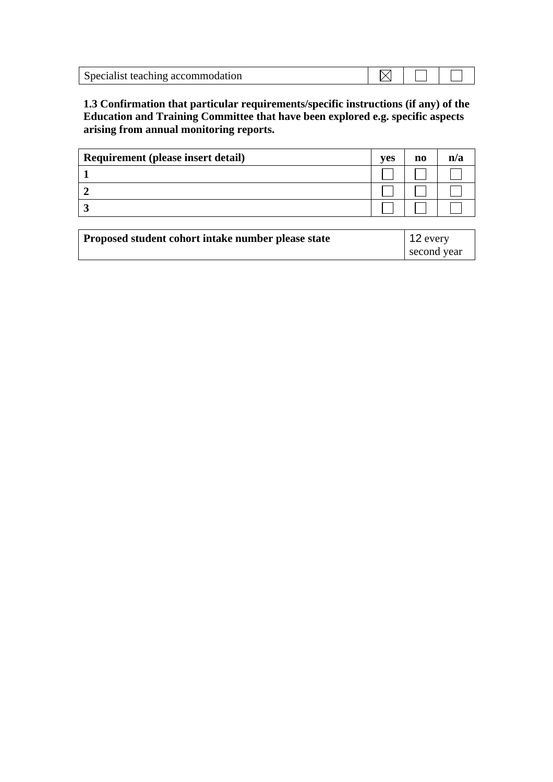| Specialist teaching accommodation |  |  |
|-----------------------------------|--|--|

**1.3 Confirmation that particular requirements/specific instructions (if any) of the Education and Training Committee that have been explored e.g. specific aspects arising from annual monitoring reports.** 

| Requirement (please insert detail) | yes | $\bf{n}$ | n/a |
|------------------------------------|-----|----------|-----|
|                                    |     |          |     |
|                                    |     |          |     |
|                                    |     |          |     |

| Proposed student cohort intake number please state | 12 every    |
|----------------------------------------------------|-------------|
|                                                    | second year |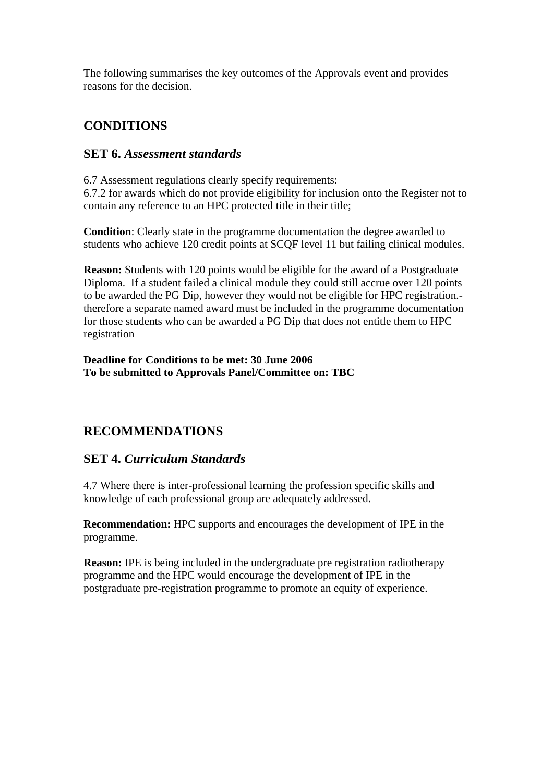The following summarises the key outcomes of the Approvals event and provides reasons for the decision.

## **CONDITIONS**

### **SET 6.** *Assessment standards*

6.7 Assessment regulations clearly specify requirements: 6.7.2 for awards which do not provide eligibility for inclusion onto the Register not to contain any reference to an HPC protected title in their title;

**Condition**: Clearly state in the programme documentation the degree awarded to students who achieve 120 credit points at SCQF level 11 but failing clinical modules.

**Reason:** Students with 120 points would be eligible for the award of a Postgraduate Diploma. If a student failed a clinical module they could still accrue over 120 points to be awarded the PG Dip, however they would not be eligible for HPC registration. therefore a separate named award must be included in the programme documentation for those students who can be awarded a PG Dip that does not entitle them to HPC registration

**Deadline for Conditions to be met: 30 June 2006 To be submitted to Approvals Panel/Committee on: TBC** 

### **RECOMMENDATIONS**

### **SET 4.** *Curriculum Standards*

4.7 Where there is inter-professional learning the profession specific skills and knowledge of each professional group are adequately addressed.

**Recommendation:** HPC supports and encourages the development of IPE in the programme.

**Reason:** IPE is being included in the undergraduate pre registration radiotherapy programme and the HPC would encourage the development of IPE in the postgraduate pre-registration programme to promote an equity of experience.